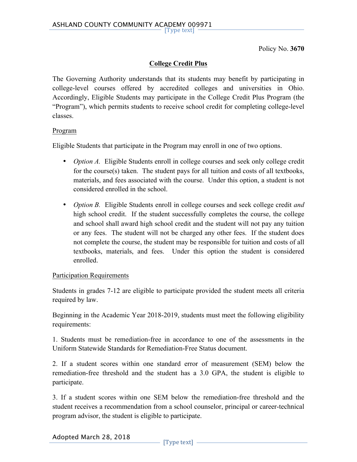Policy No. **3670**

# **College Credit Plus**

The Governing Authority understands that its students may benefit by participating in college-level courses offered by accredited colleges and universities in Ohio. Accordingly, Eligible Students may participate in the College Credit Plus Program (the "Program"), which permits students to receive school credit for completing college-level classes.

### Program

Eligible Students that participate in the Program may enroll in one of two options.

- *Option A.* Eligible Students enroll in college courses and seek only college credit for the course(s) taken. The student pays for all tuition and costs of all textbooks, materials, and fees associated with the course. Under this option, a student is not considered enrolled in the school.
- *Option B.* Eligible Students enroll in college courses and seek college credit *and* high school credit. If the student successfully completes the course, the college and school shall award high school credit and the student will not pay any tuition or any fees. The student will not be charged any other fees. If the student does not complete the course, the student may be responsible for tuition and costs of all textbooks, materials, and fees. Under this option the student is considered enrolled.

## Participation Requirements

Students in grades 7-12 are eligible to participate provided the student meets all criteria required by law.

Beginning in the Academic Year 2018-2019, students must meet the following eligibility requirements:

1. Students must be remediation-free in accordance to one of the assessments in the Uniform Statewide Standards for Remediation-Free Status document.

2. If a student scores within one standard error of measurement (SEM) below the remediation-free threshold and the student has a 3.0 GPA, the student is eligible to participate.

3. If a student scores within one SEM below the remediation-free threshold and the student receives a recommendation from a school counselor, principal or career-technical program advisor, the student is eligible to participate.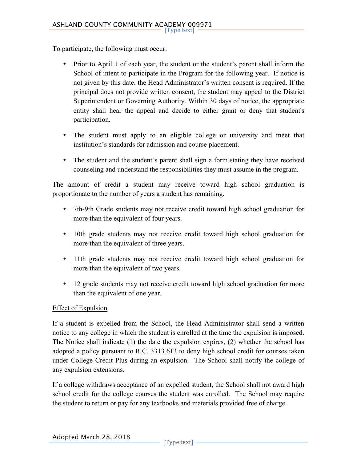To participate, the following must occur:

- Prior to April 1 of each year, the student or the student's parent shall inform the School of intent to participate in the Program for the following year. If notice is not given by this date, the Head Administrator's written consent is required. If the principal does not provide written consent, the student may appeal to the District Superintendent or Governing Authority. Within 30 days of notice, the appropriate entity shall hear the appeal and decide to either grant or deny that student's participation.
- The student must apply to an eligible college or university and meet that institution's standards for admission and course placement.
- The student and the student's parent shall sign a form stating they have received counseling and understand the responsibilities they must assume in the program.

The amount of credit a student may receive toward high school graduation is proportionate to the number of years a student has remaining.

- 7th-9th Grade students may not receive credit toward high school graduation for more than the equivalent of four years.
- 10th grade students may not receive credit toward high school graduation for more than the equivalent of three years.
- 11th grade students may not receive credit toward high school graduation for more than the equivalent of two years.
- 12 grade students may not receive credit toward high school graduation for more than the equivalent of one year.

## Effect of Expulsion

If a student is expelled from the School, the Head Administrator shall send a written notice to any college in which the student is enrolled at the time the expulsion is imposed. The Notice shall indicate (1) the date the expulsion expires, (2) whether the school has adopted a policy pursuant to R.C. 3313.613 to deny high school credit for courses taken under College Credit Plus during an expulsion. The School shall notify the college of any expulsion extensions.

If a college withdraws acceptance of an expelled student, the School shall not award high school credit for the college courses the student was enrolled. The School may require the student to return or pay for any textbooks and materials provided free of charge.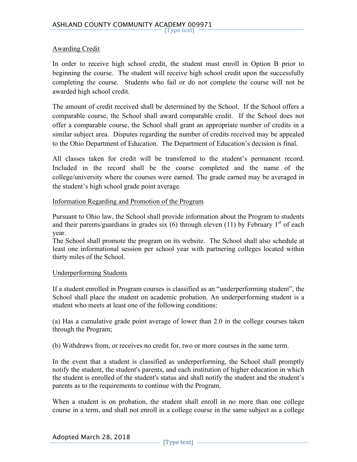### Awarding Credit

In order to receive high school credit, the student must enroll in Option B prior to beginning the course. The student will receive high school credit upon the successfully completing the course. Students who fail or do not complete the course will not be awarded high school credit.

The amount of credit received shall be determined by the School. If the School offers a comparable course, the School shall award comparable credit. If the School does not offer a comparable course, the School shall grant an appropriate number of credits in a similar subject area. Disputes regarding the number of credits received may be appealed to the Ohio Department of Education. The Department of Education's decision is final.

All classes taken for credit will be transferred to the student's permanent record. Included in the record shall be the course completed and the name of the college/university where the courses were earned. The grade earned may be averaged in the student's high school grade point average.

#### Information Regarding and Promotion of the Program

Pursuant to Ohio law, the School shall provide information about the Program to students and their parents/guardians in grades six (6) through eleven (11) by February  $1<sup>st</sup>$  of each year.

The School shall promote the program on its website. The School shall also schedule at least one informational session per school year with partnering colleges located within thirty miles of the School.

#### Underperforming Students

If a student enrolled in Program courses is classified as an "underperforming student", the School shall place the student on academic probation. An underperforming student is a student who meets at least one of the following conditions:

(a) Has a cumulative grade point average of lower than 2.0 in the college courses taken through the Program;

(b) Withdraws from, or receives no credit for, two or more courses in the same term.

In the event that a student is classified as underperforming, the School shall promptly notify the student, the student's parents, and each institution of higher education in which the student is enrolled of the student's status and shall notify the student and the student's parents as to the requirements to continue with the Program.

When a student is on probation, the student shall enroll in no more than one college course in a term, and shall not enroll in a college course in the same subject as a college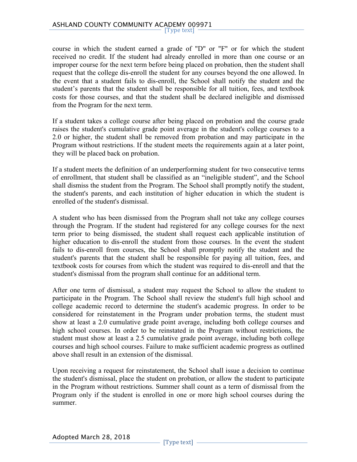course in which the student earned a grade of "D" or "F" or for which the student received no credit. If the student had already enrolled in more than one course or an improper course for the next term before being placed on probation, then the student shall request that the college dis-enroll the student for any courses beyond the one allowed. In the event that a student fails to dis-enroll, the School shall notify the student and the student's parents that the student shall be responsible for all tuition, fees, and textbook costs for those courses, and that the student shall be declared ineligible and dismissed from the Program for the next term.

If a student takes a college course after being placed on probation and the course grade raises the student's cumulative grade point average in the student's college courses to a 2.0 or higher, the student shall be removed from probation and may participate in the Program without restrictions. If the student meets the requirements again at a later point, they will be placed back on probation.

If a student meets the definition of an underperforming student for two consecutive terms of enrollment, that student shall be classified as an "ineligible student", and the School shall dismiss the student from the Program. The School shall promptly notify the student, the student's parents, and each institution of higher education in which the student is enrolled of the student's dismissal.

A student who has been dismissed from the Program shall not take any college courses through the Program. If the student had registered for any college courses for the next term prior to being dismissed, the student shall request each applicable institution of higher education to dis-enroll the student from those courses. In the event the student fails to dis-enroll from courses, the School shall promptly notify the student and the student's parents that the student shall be responsible for paying all tuition, fees, and textbook costs for courses from which the student was required to dis-enroll and that the student's dismissal from the program shall continue for an additional term.

After one term of dismissal, a student may request the School to allow the student to participate in the Program. The School shall review the student's full high school and college academic record to determine the student's academic progress. In order to be considered for reinstatement in the Program under probation terms, the student must show at least a 2.0 cumulative grade point average, including both college courses and high school courses. In order to be reinstated in the Program without restrictions, the student must show at least a 2.5 cumulative grade point average, including both college courses and high school courses. Failure to make sufficient academic progress as outlined above shall result in an extension of the dismissal.

Upon receiving a request for reinstatement, the School shall issue a decision to continue the student's dismissal, place the student on probation, or allow the student to participate in the Program without restrictions. Summer shall count as a term of dismissal from the Program only if the student is enrolled in one or more high school courses during the summer.